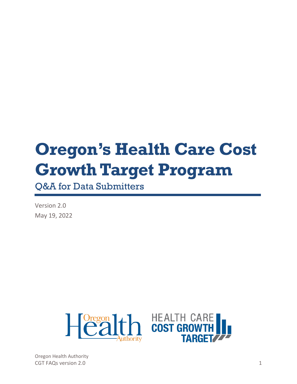# **Oregon's Health Care Cost Growth Target Program**

Q&A for Data Submitters

Version 2.0 May 19, 2022

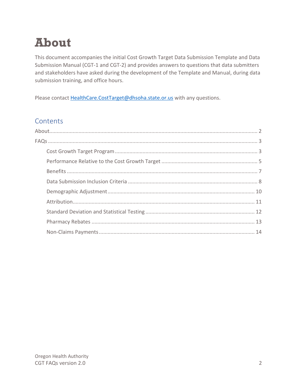# <span id="page-1-0"></span>**About**

This document accompanies the initial Cost Growth Target Data Submission Template and Data Submission Manual (CGT-1 and CGT-2) and provides answers to questions that data submitters and stakeholders have asked during the development of the Template and Manual, during data submission training, and office hours.

Please contact [HealthCare.CostTarget@dhsoha.state.or.us](mailto:HealthCare.CostTarget@dhsoha.state.or.us) with any questions.

### **Contents**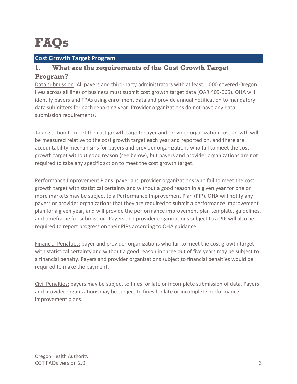# <span id="page-2-0"></span>**FAQs**

#### <span id="page-2-1"></span>**Cost Growth Target Program**

#### **1. What are the requirements of the Cost Growth Target Program?**

Data submission: All payers and third-party administrators with at least 1,000 covered Oregon lives across all lines of business must submit cost growth target data (OAR 409-065). OHA will identify payers and TPAs using enrollment data and provide annual notification to mandatory data submitters for each reporting year. Provider organizations do not have any data submission requirements.

Taking action to meet the cost growth target: payer and provider organization cost growth will be measured relative to the cost growth target each year and reported on, and there are accountability mechanisms for payers and provider organizations who fail to meet the cost growth target without good reason (see below), but payers and provider organizations are not required to take any specific action to meet the cost growth target.

Performance Improvement Plans: payer and provider organizations who fail to meet the cost growth target with statistical certainty and without a good reason in a given year for one or more markets may be subject to a Performance Improvement Plan (PIP). OHA will notify any payers or provider organizations that they are required to submit a performance improvement plan for a given year, and will provide the performance improvement plan template, guidelines, and timeframe for submission. Payers and provider organizations subject to a PIP will also be required to report progress on their PIPs according to OHA guidance.

Financial Penalties: payer and provider organizations who fail to meet the cost growth target with statistical certainty and without a good reason in three out of five years may be subject to a financial penalty. Payers and provider organizations subject to financial penalties would be required to make the payment.

Civil Penalties: payers may be subject to fines for late or incomplete submission of data. Payers and provider organizations may be subject to fines for late or incomplete performance improvement plans.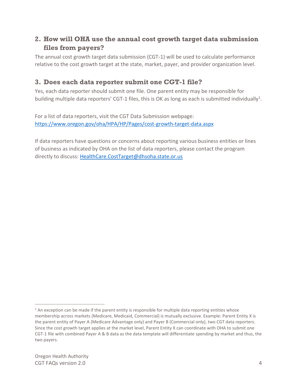#### **2. How will OHA use the annual cost growth target data submission files from payers?**

The annual cost growth target data submission (CGT-1) will be used to calculate performance relative to the cost growth target at the state, market, payer, and provider organization level.

### **3. Does each data reporter submit one CGT-1 file?**

Yes, each data reporter should submit one file. One parent entity may be responsible for building multiple data reporters' CGT-1 files, this is OK as long as each is submitted individually<sup>1</sup>.

For a list of data reporters, visit the CGT Data Submission webpage: <https://www.oregon.gov/oha/HPA/HP/Pages/cost-growth-target-data.aspx>

If data reporters have questions or concerns about reporting various business entities or lines of business as indicated by OHA on the list of data reporters, please contact the program directly to discuss[: HealthCare.CostTarget@dhsoha.state.or.us](mailto:HealthCare.CostTarget@dhsoha.state.or.us)

 $1$  An exception can be made if the parent entity is responsible for multiple data reporting entities whose membership across markets (Medicare, Medicaid, Commercial) is mutually exclusive. Example: Parent Entity X is the parent entity of Payer A (Medicare Advantage only) and Payer B (Commercial only), two CGT data reporters. Since the cost growth target applies at the market level, Parent Entity X can coordinate with OHA to submit one CGT-1 file with combined Payer A & B data as the data template will differentiate spending by market and thus, the two payers.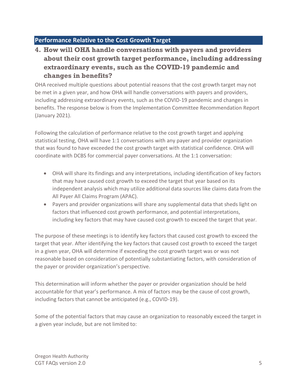#### <span id="page-4-0"></span>**Performance Relative to the Cost Growth Target**

# **4. How will OHA handle conversations with payers and providers about their cost growth target performance, including addressing extraordinary events, such as the COVID-19 pandemic and changes in benefits?**

OHA received multiple questions about potential reasons that the cost growth target may not be met in a given year, and how OHA will handle conversations with payers and providers, including addressing extraordinary events, such as the COVID-19 pandemic and changes in benefits. The response below is from the Implementation Committee Recommendation Report (January 2021).

Following the calculation of performance relative to the cost growth target and applying statistical testing, OHA will have 1:1 conversations with any payer and provider organization that was found to have exceeded the cost growth target with statistical confidence. OHA will coordinate with DCBS for commercial payer conversations. At the 1:1 conversation:

- OHA will share its findings and any interpretations, including identification of key factors that may have caused cost growth to exceed the target that year based on its independent analysis which may utilize additional data sources like claims data from the All Payer All Claims Program (APAC).
- Payers and provider organizations will share any supplemental data that sheds light on factors that influenced cost growth performance, and potential interpretations, including key factors that may have caused cost growth to exceed the target that year.

The purpose of these meetings is to identify key factors that caused cost growth to exceed the target that year. After identifying the key factors that caused cost growth to exceed the target in a given year, OHA will determine if exceeding the cost growth target was or was not reasonable based on consideration of potentially substantiating factors, with consideration of the payer or provider organization's perspective.

This determination will inform whether the payer or provider organization should be held accountable for that year's performance. A mix of factors may be the cause of cost growth, including factors that cannot be anticipated (e.g., COVID-19).

Some of the potential factors that may cause an organization to reasonably exceed the target in a given year include, but are not limited to: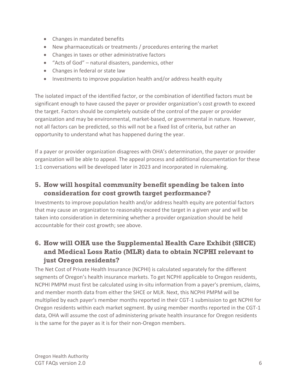- Changes in mandated benefits
- New pharmaceuticals or treatments / procedures entering the market
- Changes in taxes or other administrative factors
- "Acts of God" natural disasters, pandemics, other
- Changes in federal or state law
- Investments to improve population health and/or address health equity

The isolated impact of the identified factor, or the combination of identified factors must be significant enough to have caused the payer or provider organization's cost growth to exceed the target. Factors should be completely outside of the control of the payer or provider organization and may be environmental, market-based, or governmental in nature. However, not all factors can be predicted, so this will not be a fixed list of criteria, but rather an opportunity to understand what has happened during the year.

If a payer or provider organization disagrees with OHA's determination, the payer or provider organization will be able to appeal. The appeal process and additional documentation for these 1:1 conversations will be developed later in 2023 and incorporated in rulemaking.

# **5. How will hospital community benefit spending be taken into consideration for cost growth target performance?**

Investments to improve population health and/or address health equity are potential factors that may cause an organization to reasonably exceed the target in a given year and will be taken into consideration in determining whether a provider organization should be held accountable for their cost growth; see above.

# **6. How will OHA use the Supplemental Health Care Exhibit (SHCE) and Medical Loss Ratio (MLR) data to obtain NCPHI relevant to just Oregon residents?**

The Net Cost of Private Health Insurance (NCPHI) is calculated separately for the different segments of Oregon's health insurance markets. To get NCPHI applicable to Oregon residents, NCPHI PMPM must first be calculated using in-situ information from a payer's premium, claims, and member month data from either the SHCE or MLR. Next, this NCPHI PMPM will be multiplied by each payer's member months reported in their CGT-1 submission to get NCPHI for Oregon residents within each market segment. By using member months reported in the CGT-1 data, OHA will assume the cost of administering private health insurance for Oregon residents is the same for the payer as it is for their non-Oregon members.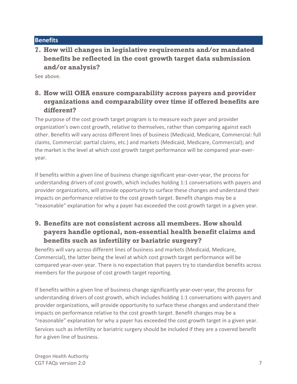#### <span id="page-6-0"></span>**Benefits**

#### **7. How will changes in legislative requirements and/or mandated benefits be reflected in the cost growth target data submission and/or analysis?**

See above.

# **8. How will OHA ensure comparability across payers and provider organizations and comparability over time if offered benefits are different?**

The purpose of the cost growth target program is to measure each payer and provider organization's own cost growth, relative to themselves, rather than comparing against each other. Benefits will vary across different lines of business (Medicaid, Medicare, Commercial: full claims, Commercial: partial claims, etc.) and markets (Medicaid, Medicare, Commercial); and the market is the level at which cost growth target performance will be compared year-overyear.

If benefits within a given line of business change significant year-over-year, the process for understanding drivers of cost growth, which includes holding 1:1 conversations with payers and provider organizations, will provide opportunity to surface these changes and understand their impacts on performance relative to the cost growth target. Benefit changes may be a "reasonable" explanation for why a payer has exceeded the cost growth target in a given year.

# **9. Benefits are not consistent across all members. How should payers handle optional, non-essential health benefit claims and benefits such as infertility or bariatric surgery?**

Benefits will vary across different lines of business and markets (Medicaid, Medicare, Commercial), the latter being the level at which cost growth target performance will be compared year-over-year. There is no expectation that payers try to standardize benefits across members for the purpose of cost growth target reporting.

If benefits within a given line of business change significantly year-over-year, the process for understanding drivers of cost growth, which includes holding 1:1 conversations with payers and provider organizations, will provide opportunity to surface these changes and understand their impacts on performance relative to the cost growth target. Benefit changes may be a "reasonable" explanation for why a payer has exceeded the cost growth target in a given year. Services such as infertility or bariatric surgery should be included if they are a covered benefit for a given line of business.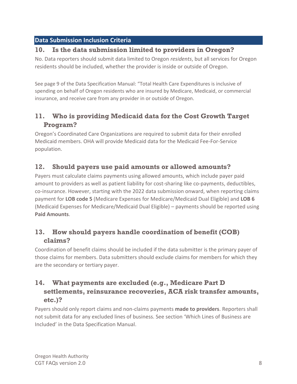#### <span id="page-7-0"></span>**Data Submission Inclusion Criteria**

#### **10. Is the data submission limited to providers in Oregon?**

No. Data reporters should submit data limited to Oregon *residents*, but all services for Oregon residents should be included, whether the provider is inside or outside of Oregon.

See page 9 of the Data Specification Manual: "Total Health Care Expenditures is inclusive of spending on behalf of Oregon residents who are insured by Medicare, Medicaid, or commercial insurance, and receive care from any provider in or outside of Oregon.

# **11. Who is providing Medicaid data for the Cost Growth Target Program?**

Oregon's Coordinated Care Organizations are required to submit data for their enrolled Medicaid members. OHA will provide Medicaid data for the Medicaid Fee-For-Service population.

#### **12. Should payers use paid amounts or allowed amounts?**

Payers must calculate claims payments using allowed amounts, which include payer paid amount to providers as well as patient liability for cost-sharing like co-payments, deductibles, co-insurance. However, starting with the 2022 data submission onward, when reporting claims payment for **LOB code 5** (Medicare Expenses for Medicare/Medicaid Dual Eligible) and **LOB 6** (Medicaid Expenses for Medicare/Medicaid Dual Eligible) – payments should be reported using **Paid Amounts**.

### **13. How should payers handle coordination of benefit (COB) claims?**

Coordination of benefit claims should be included if the data submitter is the primary payer of those claims for members. Data submitters should exclude claims for members for which they are the secondary or tertiary payer.

# **14. What payments are excluded (e.g., Medicare Part D settlements, reinsurance recoveries, ACA risk transfer amounts, etc.)?**

Payers should only report claims and non-claims payments **made to providers**. Reporters shall not submit data for any excluded lines of business. See section 'Which Lines of Business are Included' in the Data Specification Manual.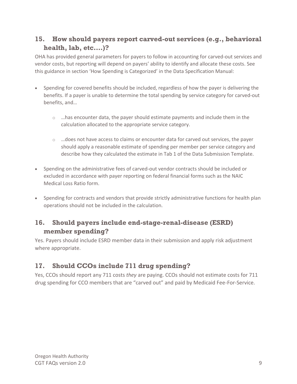### **15. How should payers report carved-out services (e.g., behavioral health, lab, etc.…)?**

OHA has provided general parameters for payers to follow in accounting for carved-out services and vendor costs, but reporting will depend on payers' ability to identify and allocate these costs. See this guidance in section 'How Spending is Categorized' in the Data Specification Manual:

- Spending for covered benefits should be included, regardless of how the payer is delivering the benefits. If a payer is unable to determine the total spending by service category for carved-out benefits, and…
	- $\circ$  ... has encounter data, the payer should estimate payments and include them in the calculation allocated to the appropriate service category.
	- $\circ$  ... does not have access to claims or encounter data for carved out services, the payer should apply a reasonable estimate of spending per member per service category and describe how they calculated the estimate in Tab 1 of the Data Submission Template.
- Spending on the administrative fees of carved-out vendor contracts should be included or excluded in accordance with payer reporting on federal financial forms such as the NAIC Medical Loss Ratio form.
- Spending for contracts and vendors that provide strictly administrative functions for health plan operations should not be included in the calculation.

#### **16. Should payers include end-stage-renal-disease (ESRD) member spending?**

Yes. Payers should include ESRD member data in their submission and apply risk adjustment where appropriate.

# **17. Should CCOs include 711 drug spending?**

Yes, CCOs should report any 711 costs *they* are paying. CCOs should not estimate costs for 711 drug spending for CCO members that are "carved out" and paid by Medicaid Fee-For-Service.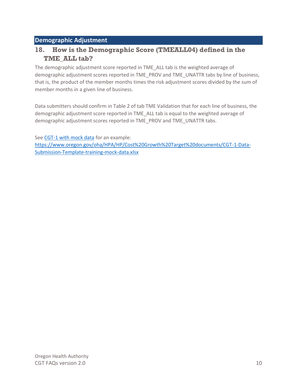#### <span id="page-9-0"></span>**Demographic Adjustment**

#### **18. How is the Demographic Score (TMEALL04) defined in the TME\_ALL tab?**

The demographic adjustment score reported in TME\_ALL tab is the weighted average of demographic adjustment scores reported in TME\_PROV and TME\_UNATTR tabs by line of business, that is, the product of the member months times the risk adjustment scores divided by the sum of member months in a given line of business.

Data submitters should confirm in Table 2 of tab TME Validation that for each line of business, the demographic adjustment score reported in TME\_ALL tab is equal to the weighted average of demographic adjustment scores reported in TME\_PROV and TME\_UNATTR tabs.

See [CGT-1 with mock data](https://www.oregon.gov/oha/HPA/HP/Cost%20Growth%20Target%20documents/CGT-1-Data-Submission-Template-training-mock-data.xlsx) for an example:

[https://www.oregon.gov/oha/HPA/HP/Cost%20Growth%20Target%20documents/CGT-1-Data-](https://www.oregon.gov/oha/HPA/HP/Cost%20Growth%20Target%20documents/CGT-1-Data-Submission-Template-training-mock-data.xlsx)[Submission-Template-training-mock-data.xlsx](https://www.oregon.gov/oha/HPA/HP/Cost%20Growth%20Target%20documents/CGT-1-Data-Submission-Template-training-mock-data.xlsx)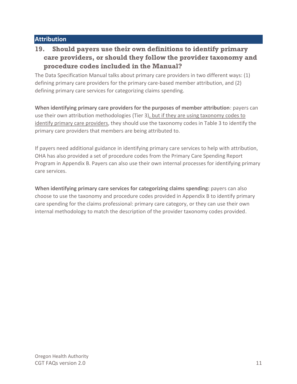#### <span id="page-10-0"></span>**Attribution**

# **19. Should payers use their own definitions to identify primary care providers, or should they follow the provider taxonomy and procedure codes included in the Manual?**

The Data Specification Manual talks about primary care providers in two different ways: (1) defining primary care providers for the primary care-based member attribution, and (2) defining primary care services for categorizing claims spending.

**When identifying primary care providers for the purposes of member attribution**: payers can use their own attribution methodologies (Tier 3), but if they are using taxonomy codes to identify primary care providers, they should use the taxonomy codes in Table 3 to identify the primary care providers that members are being attributed to.

If payers need additional guidance in identifying primary care services to help with attribution, OHA has also provided a set of procedure codes from the Primary Care Spending Report Program in Appendix B. Payers can also use their own internal processes for identifying primary care services.

**When identifying primary care services for categorizing claims spending:** payers can also choose to use the taxonomy and procedure codes provided in Appendix B to identify primary care spending for the claims professional: primary care category, or they can use their own internal methodology to match the description of the provider taxonomy codes provided.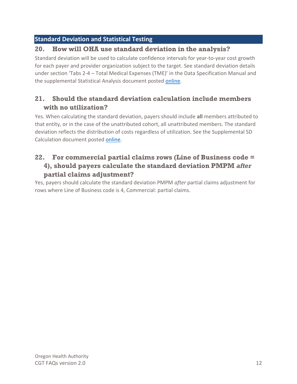#### <span id="page-11-0"></span>**Standard Deviation and Statistical Testing**

#### **20. How will OHA use standard deviation in the analysis?**

Standard deviation will be used to calculate confidence intervals for year-to-year cost growth for each payer and provider organization subject to the target. See standard deviation details under section 'Tabs 2-4 – Total Medical Expenses (TME)' in the Data Specification Manual and the supplemental Statistical Analysis document posted [online.](https://www.oregon.gov/oha/HPA/HP/Cost%20Growth%20Target%20documents/Statistical-Analysis-for-Cost-Growth-Target.pdf)

### **21. Should the standard deviation calculation include members with no utilization?**

Yes. When calculating the standard deviation, payers should include **all** members attributed to that entity, or in the case of the unattributed cohort, all unattributed members. The standard deviation reflects the distribution of costs regardless of utilization. See the Supplemental SD Calculation document posted [online.](https://www.oregon.gov/oha/HPA/HP/Cost%20Growth%20Target%20documents/CGT-2-Supplemental-SD-calculation.xlsx)

#### **22. For commercial partial claims rows (Line of Business code = 4), should payers calculate the standard deviation PMPM** *after* **partial claims adjustment?**

Yes, payers should calculate the standard deviation PMPM *after* partial claims adjustment for rows where Line of Business code is 4, Commercial: partial claims.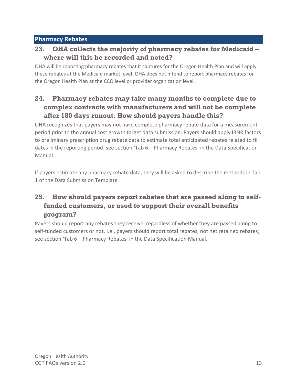#### <span id="page-12-0"></span>**Pharmacy Rebates**

#### **23. OHA collects the majority of pharmacy rebates for Medicaid – where will this be recorded and noted?**

OHA will be reporting pharmacy rebates that it captures for the Oregon Health Plan and will apply these rebates at the Medicaid market level. OHA does not intend to report pharmacy rebates for the Oregon Health Plan at the CCO level or provider organization level.

### **24. Pharmacy rebates may take many months to complete due to complex contracts with manufacturers and will not be complete after 180 days runout. How should payers handle this?**

OHA recognizes that payers may not have complete pharmacy rebate data for a measurement period prior to the annual cost growth target data submission. Payers should apply IBNR factors to preliminary prescription drug rebate data to estimate total anticipated rebates related to fill dates in the reporting period; see section 'Tab 6 – Pharmacy Rebates' in the Data Specification Manual.

If payers estimate any pharmacy rebate data, they will be asked to describe the methods in Tab 1 of the Data Submission Template.

# **25. How should payers report rebates that are passed along to selffunded customers, or used to support their overall benefits program?**

Payers should report any rebates they receive, regardless of whether they are passed along to self-funded customers or not. I.e., payers should report total rebates, not net retained rebates; see section 'Tab 6 – Pharmacy Rebates' in the Data Specification Manual.